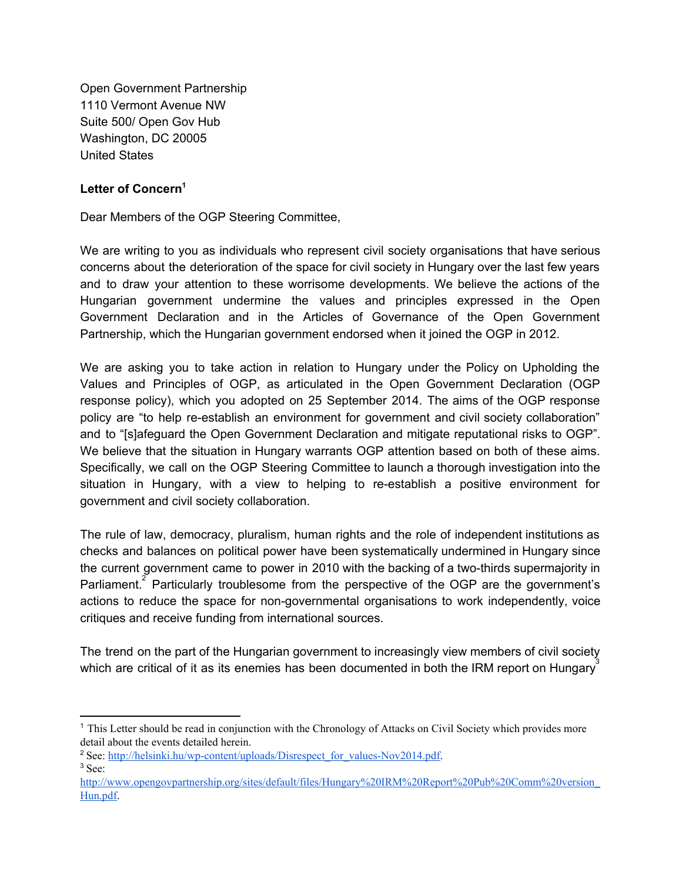Open Government Partnership 1110 Vermont Avenue NW Suite 500/ Open Gov Hub Washington, DC 20005 United States

## **Letter of Concern 1**

Dear Members of the OGP Steering Committee,

We are writing to you as individuals who represent civil society organisations that have serious concerns about the deterioration of the space for civil society in Hungary over the last few years and to draw your attention to these worrisome developments. We believe the actions of the Hungarian government undermine the values and principles expressed in the Open Government Declaration and in the Articles of Governance of the Open Government Partnership, which the Hungarian government endorsed when it joined the OGP in 2012.

We are asking you to take action in relation to Hungary under the Policy on Upholding the Values and Principles of OGP, as articulated in the Open Government Declaration (OGP response policy), which you adopted on 25 September 2014. The aims of the OGP response policy are "to help re-establish an environment for government and civil society collaboration" and to "[s]afeguard the Open Government Declaration and mitigate reputational risks to OGP". We believe that the situation in Hungary warrants OGP attention based on both of these aims. Specifically, we call on the OGP Steering Committee to launch a thorough investigation into the situation in Hungary, with a view to helping to re-establish a positive environment for government and civil society collaboration.

The rule of law, democracy, pluralism, human rights and the role of independent institutions as checks and balances on political power have been systematically undermined in Hungary since the current government came to power in 2010 with the backing of a two-thirds supermajority in Parliament.<sup>2</sup> Particularly troublesome from the perspective of the OGP are the government's actions to reduce the space for non-governmental organisations to work independently, voice critiques and receive funding from international sources.

The trend on the part of the Hungarian government to increasingly view members of civil society which are critical of it as its enemies has been documented in both the IRM report on Hungary<sup>3</sup>

<sup>1</sup> This Letter should be read in conjunction with the Chronology of Attacks on Civil Society which provides more detail about the events detailed herein.

<sup>&</sup>lt;sup>2</sup> See: http://helsinki.hu/wp-content/uploads/Disrespect\_for\_values-Nov2014.pdf. <sup>3</sup> See[:](http://www.opengovpartnership.org/sites/default/files/Hungary%20IRM%20Report%20Pub%20Comm%20version_Hun.pdf)

[http://www.opengovpartnership.org/sites/default/files/Hungary%20IRM%20Report%20Pub%20Comm%20version\\_](http://www.opengovpartnership.org/sites/default/files/Hungary%20IRM%20Report%20Pub%20Comm%20version_Hun.pdf) [Hun.pdf.](http://www.opengovpartnership.org/sites/default/files/Hungary%20IRM%20Report%20Pub%20Comm%20version_Hun.pdf)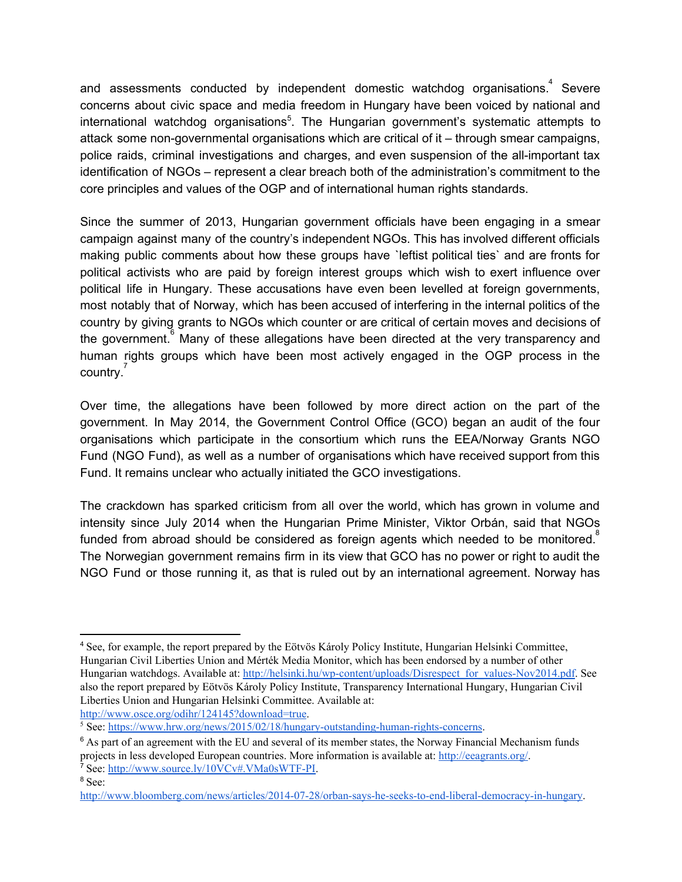and assessments conducted by independent domestic watchdog organisations.<sup>4</sup> Severe concerns about civic space and media freedom in Hungary have been voiced by national and international watchdog organisations<sup>5</sup>. The Hungarian government's systematic attempts to attack some non-governmental organisations which are critical of it – through smear campaigns, police raids, criminal investigations and charges, and even suspension of the all-important tax identification of NGOs – represent a clear breach both of the administration's commitment to the core principles and values of the OGP and of international human rights standards.

Since the summer of 2013, Hungarian government officials have been engaging in a smear campaign against many of the country's independent NGOs. This has involved different officials making public comments about how these groups have `leftist political ties` and are fronts for political activists who are paid by foreign interest groups which wish to exert influence over political life in Hungary. These accusations have even been levelled at foreign governments, most notably that of Norway, which has been accused of interfering in the internal politics of the country by giving grants to NGOs which counter or are critical of certain moves and decisions of the government. Many of these allegations have been directed at the very transparency and human rights groups which have been most actively engaged in the OGP process in the country.<sup>7</sup>

Over time, the allegations have been followed by more direct action on the part of the government. In May 2014, the Government Control Office (GCO) began an audit of the four organisations which participate in the consortium which runs the EEA/Norway Grants NGO Fund (NGO Fund), as well as a number of organisations which have received support from this Fund. It remains unclear who actually initiated the GCO investigations.

The crackdown has sparked criticism from all over the world, which has grown in volume and intensity since July 2014 when the Hungarian Prime Minister, Viktor Orbán, said that NGOs funded from abroad should be considered as foreign agents which needed to be monitored.<sup>8</sup> The Norwegian government remains firm in its view that GCO has no power or right to audit the NGO Fund or those running it, as that is ruled out by an international agreement. Norway has

[http://www.osce.org/odihr/124145?download=true.](http://www.osce.org/odihr/124145?download=true)

<sup>4</sup> See, for example, the report prepared by the Eötvös Károly Policy Institute, Hungarian Helsinki Committee, Hungarian Civil Liberties Union and Mérték Media Monitor, which has been endorsed by a number of other Hungarian watchdogs. Available at[:](http://helsinki.hu/wp-content/uploads/Disrespect_for_values-Nov2014.pdf) http://helsinki.hu/wp-content/uploads/Disrespect\_for\_values-Nov2014.pdf. See also the report prepared by Eötvös Károly Policy Institute, Transparency International Hungary, Hungarian Civil Liberties Union and Hungarian Helsinki Committee. Available at[:](http://www.osce.org/odihr/124145?download=true)

 $5$  See: https://www.hrw.org/news/2015/02/18/hungary-outstanding-human-rights-concerns.

 $6$  As part of an agreement with the EU and several of its member states, the Norway Financial Mechanism funds projects in less developed European countries. More information is available at[:](http://eeagrants.org/) [http://eeagrants.org/.](http://eeagrants.org/)

<sup>&</sup>lt;sup>7</sup> See: http://www.source.ly/10VCv#.VMa0sWTF-PI.

<sup>8</sup> See[:](http://www.bloomberg.com/news/articles/2014-07-28/orban-says-he-seeks-to-end-liberal-democracy-in-hungary)

http://www.bloomberg.com/news/articles/2014-07-28/orban-says-he-seeks-to-end-liberal-democracy-in-hungary.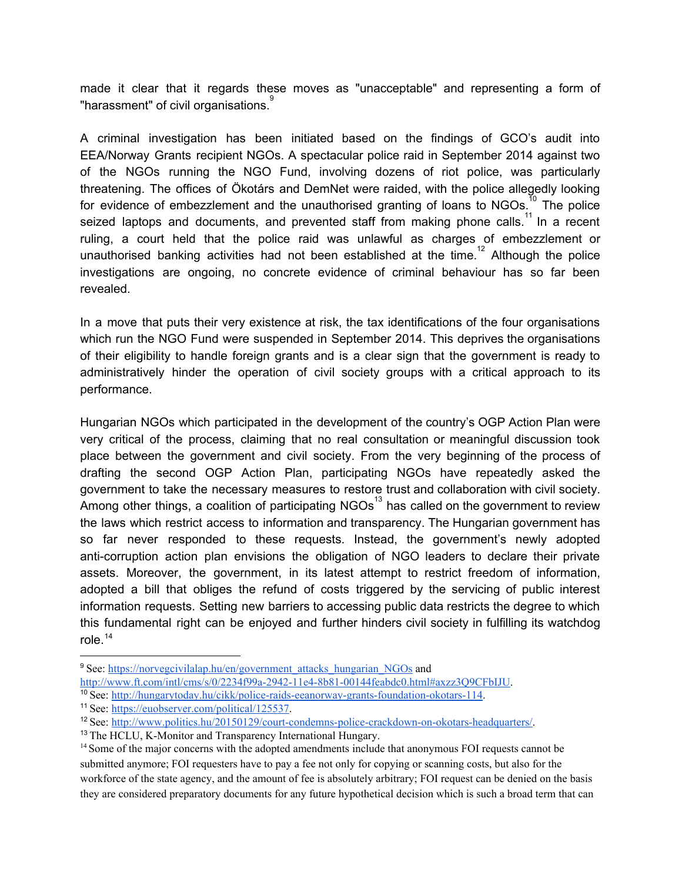made it clear that it regards these moves as "unacceptable" and representing a form of "harassment" of civil organisations.<sup>9</sup>

A criminal investigation has been initiated based on the findings of GCO's audit into EEA/Norway Grants recipient NGOs. A spectacular police raid in September 2014 against two of the NGOs running the NGO Fund, involving dozens of riot police, was particularly threatening. The offices of Ökotárs and DemNet were raided, with the police allegedly looking for evidence of embezzlement and the unauthorised granting of loans to NGOs.<sup>10</sup> The police seized laptops and documents, and prevented staff from making phone calls.<sup>11</sup> In a recent ruling, a court held that the police raid was unlawful as charges of embezzlement or unauthorised banking activities had not been established at the time.<sup>12</sup> Although the police investigations are ongoing, no concrete evidence of criminal behaviour has so far been revealed.

In a move that puts their very existence at risk, the tax identifications of the four organisations which run the NGO Fund were suspended in September 2014. This deprives the organisations of their eligibility to handle foreign grants and is a clear sign that the government is ready to administratively hinder the operation of civil society groups with a critical approach to its performance.

Hungarian NGOs which participated in the development of the country's OGP Action Plan were very critical of the process, claiming that no real consultation or meaningful discussion took place between the government and civil society. From the very beginning of the process of drafting the second OGP Action Plan, participating NGOs have repeatedly asked the government to take the necessary measures to restore trust and collaboration with civil society. Among other things, a coalition of participating NGOs<sup>13</sup> has called on the government to review the laws which restrict access to information and transparency. The Hungarian government has so far never responded to these requests. Instead, the government's newly adopted anti-corruption action plan envisions the obligation of NGO leaders to declare their private assets. Moreover, the government, in its latest attempt to restrict freedom of information, adopted a bill that obliges the refund of costs triggered by the servicing of public interest information requests. Setting new barriers to accessing public data restricts the degree to which this fundamental right can be enjoyed and further hinders civil society in fulfilling its watchdog role. 14

- http://www.ft.com/intl/cms/s/0/2234f99a-2942-11e4-8b81-00144feabdc0.html#axzz3O9CFbIJU.
- <sup>10</sup> See: http://hungarytoday.hu/cikk/police-raids-eeanorway-grants-foundation-okotars-114.
- <sup>11</sup> See: [https://euobserver.com/political/125537.](https://euobserver.com/political/125537)

<sup>13</sup> The HCLU, K-Monitor and Transparency International Hungary.

<sup>&</sup>lt;sup>9</sup> See: [https://norvegcivilalap.hu/en/government\\_attacks\\_hungarian\\_NGOs](https://norvegcivilalap.hu/en/government_attacks_hungarian_NGOs) an[d](http://www.ft.com/intl/cms/s/0/2234f99a-2942-11e4-8b81-00144feabdc0.html#axzz3Q9CFbIJU)

<sup>&</sup>lt;sup>12</sup> See: http://www.politics.hu/20150129/court-condemns-police-crackdown-on-okotars-headquarters/.

<sup>&</sup>lt;sup>14</sup> Some of the major concerns with the adopted amendments include that anonymous FOI requests cannot be submitted anymore; FOI requesters have to pay a fee not only for copying or scanning costs, but also for the workforce of the state agency, and the amount of fee is absolutely arbitrary; FOI request can be denied on the basis they are considered preparatory documents for any future hypothetical decision which is such a broad term that can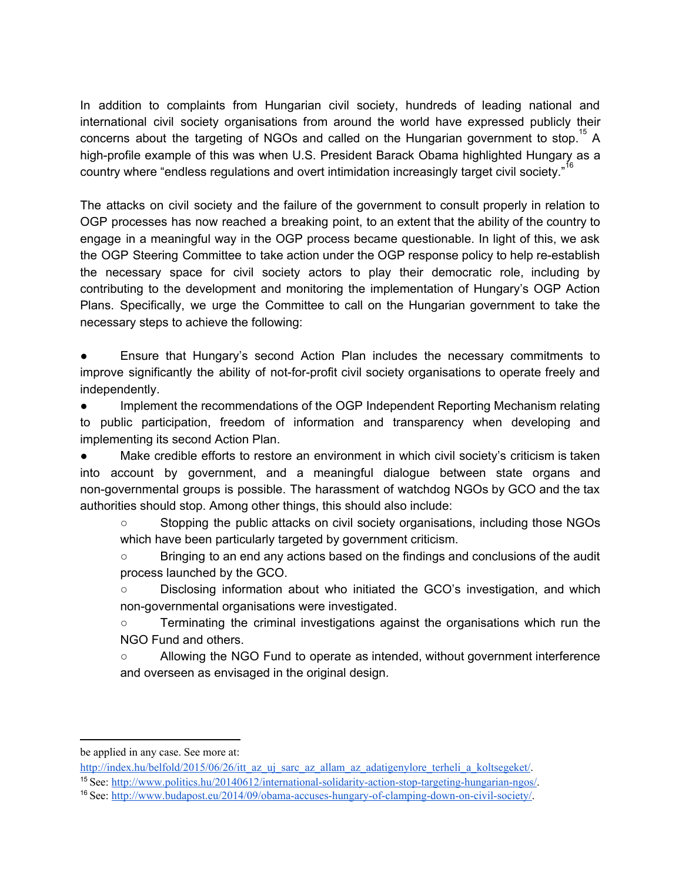In addition to complaints from Hungarian civil society, hundreds of leading national and international civil society organisations from around the world have expressed publicly their concerns about the targeting of NGOs and called on the Hungarian government to stop.<sup>15</sup> A high-profile example of this was when U.S. President Barack Obama highlighted Hungary as a country where "endless regulations and overt intimidation increasingly target civil society."<sup>16</sup>

The attacks on civil society and the failure of the government to consult properly in relation to OGP processes has now reached a breaking point, to an extent that the ability of the country to engage in a meaningful way in the OGP process became questionable. In light of this, we ask the OGP Steering Committee to take action under the OGP response policy to help re-establish the necessary space for civil society actors to play their democratic role, including by contributing to the development and monitoring the implementation of Hungary's OGP Action Plans. Specifically, we urge the Committee to call on the Hungarian government to take the necessary steps to achieve the following:

Ensure that Hungary's second Action Plan includes the necessary commitments to improve significantly the ability of not-for-profit civil society organisations to operate freely and independently.

● Implement the recommendations of the OGP Independent Reporting Mechanism relating to public participation, freedom of information and transparency when developing and implementing its second Action Plan.

● Make credible efforts to restore an environment in which civil society's criticism is taken into account by government, and a meaningful dialogue between state organs and non-governmental groups is possible. The harassment of watchdog NGOs by GCO and the tax authorities should stop. Among other things, this should also include:

○ Stopping the public attacks on civil society organisations, including those NGOs which have been particularly targeted by government criticism.

○ Bringing to an end any actions based on the findings and conclusions of the audit process launched by the GCO.

○ Disclosing information about who initiated the GCO's investigation, and which non-governmental organisations were investigated.

○ Terminating the criminal investigations against the organisations which run the NGO Fund and others.

○ Allowing the NGO Fund to operate as intended, without government interference and overseen as envisaged in the original design.

be applied in any case. See more at:

[http://index.hu/belfold/2015/06/26/itt\\_az\\_uj\\_sarc\\_az\\_allam\\_az\\_adatigenylore\\_terheli\\_a\\_koltsegeket/.](http://index.hu/belfold/2015/06/26/itt_az_uj_sarc_az_allam_az_adatigenylore_terheli_a_koltsegeket/)

<sup>&</sup>lt;sup>15</sup> See: http://www.politics.hu/2014061<u>2/international-solidarity-action-stop-targeting-hungarian-ngos/</u>.

<sup>16</sup> See: http://www.budapost.eu/2014/09/obama-accuses-hungary-of-clamping-down-on-civil-society/.